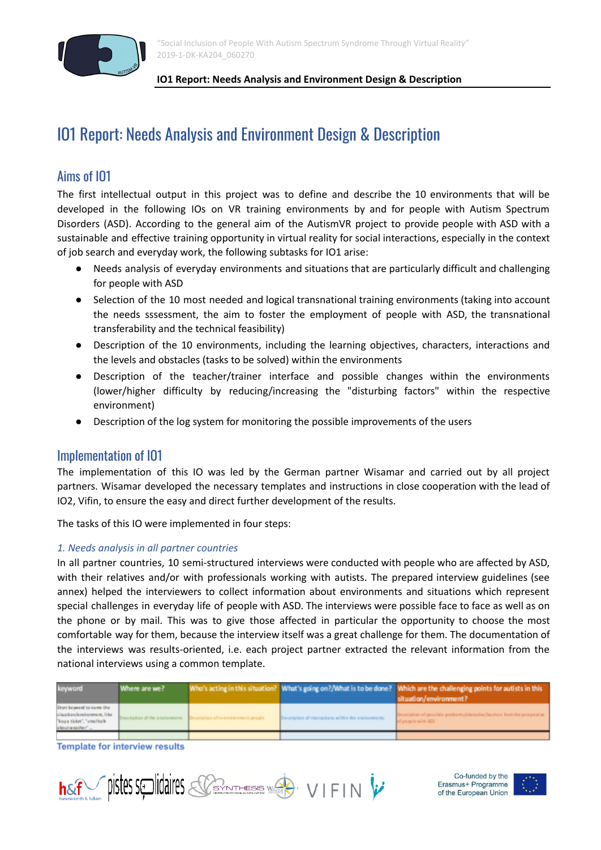

# IO1 Report: Needs Analysis and Environment Design & Description

# Aims of IO1

The first intellectual output in this project was to define and describe the 10 environments that will be developed in the following IOs on VR training environments by and for people with Autism Spectrum Disorders (ASD). According to the general aim of the AutismVR project to provide people with ASD with a sustainable and effective training opportunity in virtual reality for social interactions, especially in the context of job search and everyday work, the following subtasks for IO1 arise:

- Needs analysis of everyday environments and situations that are particularly difficult and challenging for people with ASD
- Selection of the 10 most needed and logical transnational training environments (taking into account the needs sssessment, the aim to foster the employment of people with ASD, the transnational transferability and the technical feasibility)
- Description of the 10 environments, including the learning objectives, characters, interactions and the levels and obstacles (tasks to be solved) within the environments
- Description of the teacher/trainer interface and possible changes within the environments (lower/higher difficulty by reducing/increasing the "disturbing factors" within the respective environment)
- Description of the log system for monitoring the possible improvements of the users

# Implementation of IO1

The implementation of this IO was led by the German partner Wisamar and carried out by all project partners. Wisamar developed the necessary templates and instructions in close cooperation with the lead of IO2, Vifin, to ensure the easy and direct further development of the results.

The tasks of this IO were implemented in four steps:

# *1. Needs analysis in all partner countries*

In all partner countries, 10 semi-structured interviews were conducted with people who are affected by ASD, with their relatives and/or with professionals working with autists. The prepared interview guidelines (see annex) helped the interviewers to collect information about environments and situations which represent special challenges in everyday life of people with ASD. The interviews were possible face to face as well as on the phone or by mail. This was to give those affected in particular the opportunity to choose the most comfortable way for them, because the interview itself was a great challenge for them. The documentation of the interviews was results-oriented, i.e. each project partner extracted the relevant information from the national interviews using a common template.

| keyword                                                                                                 | Where are we? |                                                                     |                                                     | Who's acting in this situation? What's going on?/What is to be done? Which are the challenging points for autists in this<br>situation/environment? |
|---------------------------------------------------------------------------------------------------------|---------------|---------------------------------------------------------------------|-----------------------------------------------------|-----------------------------------------------------------------------------------------------------------------------------------------------------|
| Short keyword to name the<br>situation/environment, like<br>"buya ticket", "smalltalk<br>about weather" |               | Description of the environment Description of in-environment people | Description of interactions within the emironments. | Description of possible problems/obstacles/barriers from the perspective<br>of people with ASD                                                      |
|                                                                                                         |               |                                                                     |                                                     |                                                                                                                                                     |

**Template for interview results** 



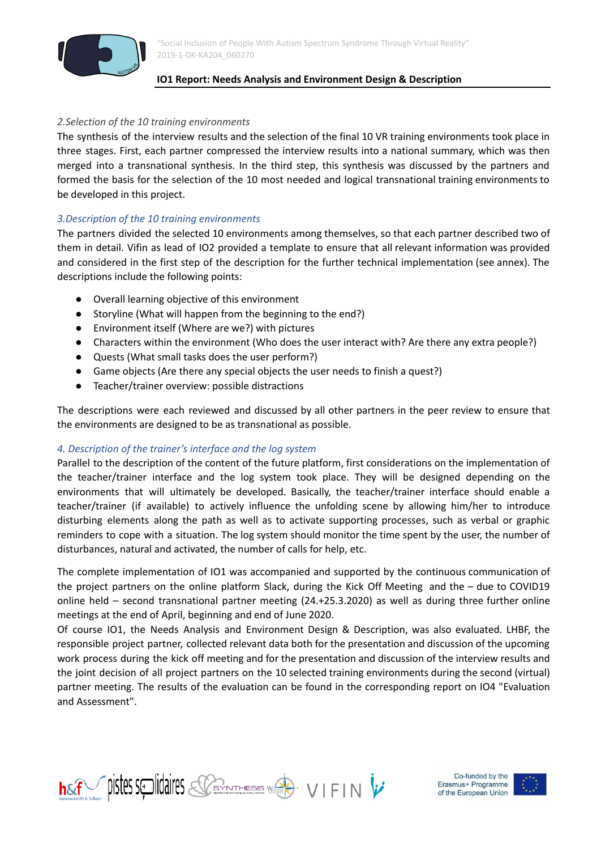

#### *2.Selection of the 10 training environments*

The synthesis of the interview results and the selection of the final 10 VR training environments took place in three stages. First, each partner compressed the interview results into a national summary, which was then merged into a transnational synthesis. In the third step, this synthesis was discussed by the partners and formed the basis for the selection of the 10 most needed and logical transnational training environments to be developed in this project.

### *3.Description of the 10 training environments*

The partners divided the selected 10 environments among themselves, so that each partner described two of them in detail. Vifin as lead of IO2 provided a template to ensure that all relevant information was provided and considered in the first step of the description for the further technical implementation (see annex). The descriptions include the following points:

- Overall learning objective of this environment
- Storyline (What will happen from the beginning to the end?)
- Environment itself (Where are we?) with pictures
- Characters within the environment (Who does the user interact with? Are there any extra people?)
- Quests (What small tasks does the user perform?)
- Game objects (Are there any special objects the user needs to finish a quest?)
- Teacher/trainer overview: possible distractions

The descriptions were each reviewed and discussed by all other partners in the peer review to ensure that the environments are designed to be as transnational as possible.

#### *4. Description of the trainer's interface and the log system*

Parallel to the description of the content of the future platform, first considerations on the implementation of the teacher/trainer interface and the log system took place. They will be designed depending on the environments that will ultimately be developed. Basically, the teacher/trainer interface should enable a teacher/trainer (if available) to actively influence the unfolding scene by allowing him/her to introduce disturbing elements along the path as well as to activate supporting processes, such as verbal or graphic reminders to cope with a situation. The log system should monitor the time spent by the user, the number of disturbances, natural and activated, the number of calls for help, etc.

The complete implementation of IO1 was accompanied and supported by the continuous communication of the project partners on the online platform Slack, during the Kick Off Meeting and the – due to COVID19 online held – second transnational partner meeting (24.+25.3.2020) as well as during three further online meetings at the end of April, beginning and end of June 2020.

Of course IO1, the Needs Analysis and Environment Design & Description, was also evaluated. LHBF, the responsible project partner, collected relevant data both for the presentation and discussion of the upcoming work process during the kick off meeting and for the presentation and discussion of the interview results and the joint decision of all project partners on the 10 selected training environments during the second (virtual) partner meeting. The results of the evaluation can be found in the corresponding report on IO4 "Evaluation and Assessment".



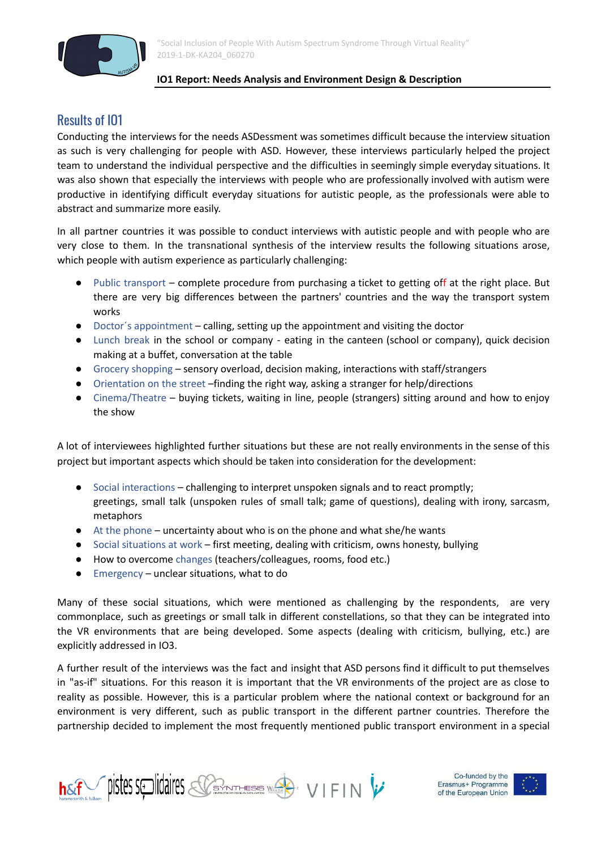

# Results of IO1

Conducting the interviews for the needs ASDessment was sometimes difficult because the interview situation as such is very challenging for people with ASD. However, these interviews particularly helped the project team to understand the individual perspective and the difficulties in seemingly simple everyday situations. It was also shown that especially the interviews with people who are professionally involved with autism were productive in identifying difficult everyday situations for autistic people, as the professionals were able to abstract and summarize more easily.

In all partner countries it was possible to conduct interviews with autistic people and with people who are very close to them. In the transnational synthesis of the interview results the following situations arose, which people with autism experience as particularly challenging:

- Public transport complete procedure from purchasing a ticket to getting off at the right place. But there are very big differences between the partners' countries and the way the transport system works
- Doctor´s appointment calling, setting up the appointment and visiting the doctor
- Lunch break in the school or company eating in the canteen (school or company), quick decision making at a buffet, conversation at the table
- Grocery shopping sensory overload, decision making, interactions with staff/strangers
- Orientation on the street –finding the right way, asking a stranger for help/directions
- Cinema/Theatre buying tickets, waiting in line, people (strangers) sitting around and how to enjoy the show

A lot of interviewees highlighted further situations but these are not really environments in the sense of this project but important aspects which should be taken into consideration for the development:

- Social interactions challenging to interpret unspoken signals and to react promptly; greetings, small talk (unspoken rules of small talk; game of questions), dealing with irony, sarcasm, metaphors
- $\bullet$  At the phone uncertainty about who is on the phone and what she/he wants
- Social situations at work first meeting, dealing with criticism, owns honesty, bullying
- How to overcome changes (teachers/colleagues, rooms, food etc.)
- Emergency unclear situations, what to do

Many of these social situations, which were mentioned as challenging by the respondents, are very commonplace, such as greetings or small talk in different constellations, so that they can be integrated into the VR environments that are being developed. Some aspects (dealing with criticism, bullying, etc.) are explicitly addressed in IO3.

A further result of the interviews was the fact and insight that ASD persons find it difficult to put themselves in "as-if" situations. For this reason it is important that the VR environments of the project are as close to reality as possible. However, this is a particular problem where the national context or background for an environment is very different, such as public transport in the different partner countries. Therefore the partnership decided to implement the most frequently mentioned public transport environment in a special



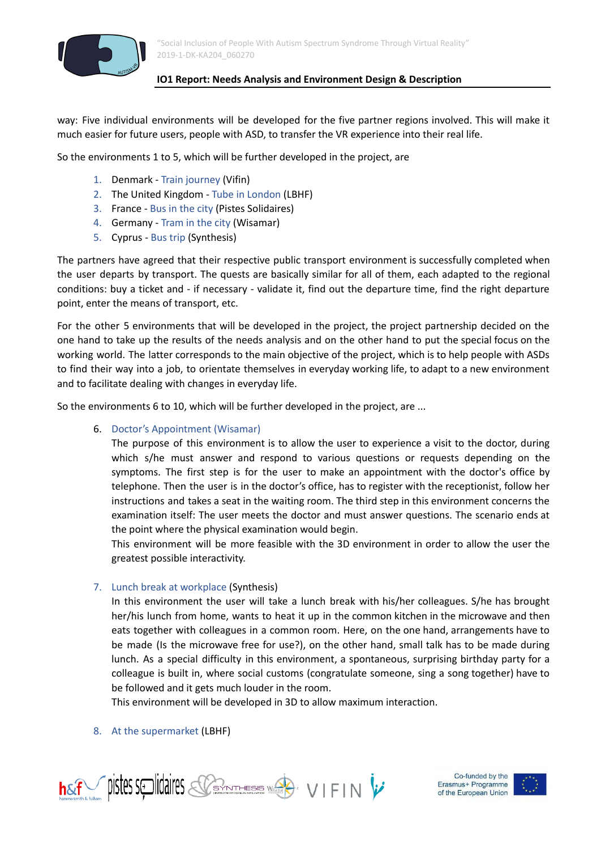

way: Five individual environments will be developed for the five partner regions involved. This will make it much easier for future users, people with ASD, to transfer the VR experience into their real life.

So the environments 1 to 5, which will be further developed in the project, are

- 1. Denmark Train journey (Vifin)
- 2. The United Kingdom Tube in London (LBHF)
- 3. France Bus in the city (Pistes Solidaires)
- 4. Germany Tram in the city (Wisamar)
- 5. Cyprus Bus trip (Synthesis)

The partners have agreed that their respective public transport environment is successfully completed when the user departs by transport. The quests are basically similar for all of them, each adapted to the regional conditions: buy a ticket and - if necessary - validate it, find out the departure time, find the right departure point, enter the means of transport, etc.

For the other 5 environments that will be developed in the project, the project partnership decided on the one hand to take up the results of the needs analysis and on the other hand to put the special focus on the working world. The latter corresponds to the main objective of the project, which is to help people with ASDs to find their way into a job, to orientate themselves in everyday working life, to adapt to a new environment and to facilitate dealing with changes in everyday life.

So the environments 6 to 10, which will be further developed in the project, are ...

6. Doctor's Appointment (Wisamar)

The purpose of this environment is to allow the user to experience a visit to the doctor, during which s/he must answer and respond to various questions or requests depending on the symptoms. The first step is for the user to make an appointment with the doctor's office by telephone. Then the user is in the doctor's office, has to register with the receptionist, follow her instructions and takes a seat in the waiting room. The third step in this environment concerns the examination itself: The user meets the doctor and must answer questions. The scenario ends at the point where the physical examination would begin.

This environment will be more feasible with the 3D environment in order to allow the user the greatest possible interactivity.

# 7. Lunch break at workplace (Synthesis)

In this environment the user will take a lunch break with his/her colleagues. S/he has brought her/his lunch from home, wants to heat it up in the common kitchen in the microwave and then eats together with colleagues in a common room. Here, on the one hand, arrangements have to be made (Is the microwave free for use?), on the other hand, small talk has to be made during lunch. As a special difficulty in this environment, a spontaneous, surprising birthday party for a colleague is built in, where social customs (congratulate someone, sing a song together) have to be followed and it gets much louder in the room.

This environment will be developed in 3D to allow maximum interaction.

#### 8. At the supermarket (LBHF)



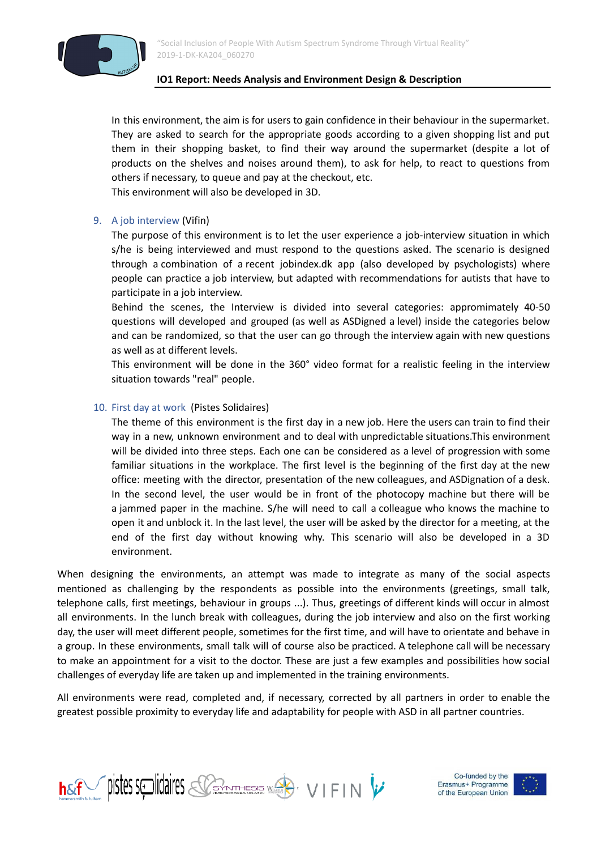

In this environment, the aim is for users to gain confidence in their behaviour in the supermarket. They are asked to search for the appropriate goods according to a given shopping list and put them in their shopping basket, to find their way around the supermarket (despite a lot of products on the shelves and noises around them), to ask for help, to react to questions from others if necessary, to queue and pay at the checkout, etc.

This environment will also be developed in 3D.

# 9. A job interview (Vifin)

The purpose of this environment is to let the user experience a job-interview situation in which s/he is being interviewed and must respond to the questions asked. The scenario is designed through a combination of a recent jobindex.dk app (also developed by psychologists) where people can practice a job interview, but adapted with recommendations for autists that have to participate in a job interview.

Behind the scenes, the Interview is divided into several categories: appromimately 40-50 questions will developed and grouped (as well as ASDigned a level) inside the categories below and can be randomized, so that the user can go through the interview again with new questions as well as at different levels.

This environment will be done in the 360° video format for a realistic feeling in the interview situation towards "real" people.

### 10. First day at work (Pistes Solidaires)

The theme of this environment is the first day in a new job. Here the users can train to find their way in a new, unknown environment and to deal with unpredictable situations.This environment will be divided into three steps. Each one can be considered as a level of progression with some familiar situations in the workplace. The first level is the beginning of the first day at the new office: meeting with the director, presentation of the new colleagues, and ASDignation of a desk. In the second level, the user would be in front of the photocopy machine but there will be a jammed paper in the machine. S/he will need to call a colleague who knows the machine to open it and unblock it. In the last level, the user will be asked by the director for a meeting, at the end of the first day without knowing why. This scenario will also be developed in a 3D environment.

When designing the environments, an attempt was made to integrate as many of the social aspects mentioned as challenging by the respondents as possible into the environments (greetings, small talk, telephone calls, first meetings, behaviour in groups ...). Thus, greetings of different kinds will occur in almost all environments. In the lunch break with colleagues, during the job interview and also on the first working day, the user will meet different people, sometimes for the first time, and will have to orientate and behave in a group. In these environments, small talk will of course also be practiced. A telephone call will be necessary to make an appointment for a visit to the doctor. These are just a few examples and possibilities how social challenges of everyday life are taken up and implemented in the training environments.

All environments were read, completed and, if necessary, corrected by all partners in order to enable the greatest possible proximity to everyday life and adaptability for people with ASD in all partner countries.



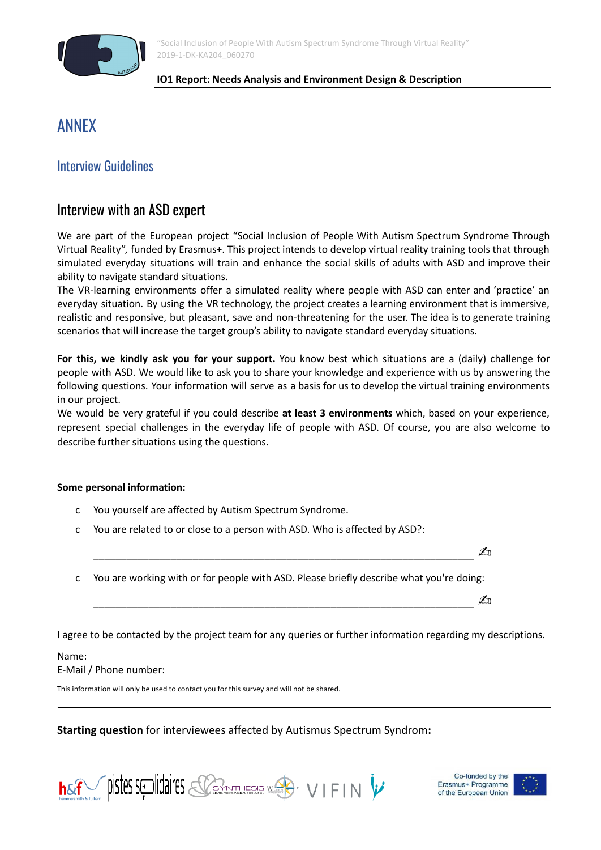

"Social Inclusion of People With Autism Spectrum Syndrome Through Virtual Reality" 2019-1-DK-KA204\_060270

#### **IO1 Report: Needs Analysis and Environment Design & Description**

# ANNEX

# Interview Guidelines

# Interview with an ASD expert

We are part of the European project "Social Inclusion of People With Autism Spectrum Syndrome Through Virtual Reality", funded by Erasmus+. This project intends to develop virtual reality training tools that through simulated everyday situations will train and enhance the social skills of adults with ASD and improve their ability to navigate standard situations.

The VR-learning environments offer a simulated reality where people with ASD can enter and 'practice' an everyday situation. By using the VR technology, the project creates a learning environment that is immersive, realistic and responsive, but pleasant, save and non-threatening for the user. The idea is to generate training scenarios that will increase the target group's ability to navigate standard everyday situations.

**For this, we kindly ask you for your support.** You know best which situations are a (daily) challenge for people with ASD. We would like to ask you to share your knowledge and experience with us by answering the following questions. Your information will serve as a basis for us to develop the virtual training environments in our project.

We would be very grateful if you could describe **at least 3 environments** which, based on your experience, represent special challenges in the everyday life of people with ASD. Of course, you are also welcome to describe further situations using the questions.

# **Some personal information:**

- c You yourself are affected by Autism Spectrum Syndrome.
- c You are related to or close to a person with ASD. Who is affected by ASD?:
- c You are working with or for people with ASD. Please briefly describe what you're doing:

\_\_\_\_\_\_\_\_\_\_\_\_\_\_\_\_\_\_\_\_\_\_\_\_\_\_\_\_\_\_\_\_\_\_\_\_\_\_\_\_\_\_\_\_\_\_\_\_\_\_\_\_\_\_\_\_\_\_\_\_\_\_\_\_\_\_\_\_\_✍

\_\_\_\_\_\_\_\_\_\_\_\_\_\_\_\_\_\_\_\_\_\_\_\_\_\_\_\_\_\_\_\_\_\_\_\_\_\_\_\_\_\_\_\_\_\_\_\_\_\_\_\_\_\_\_\_\_\_\_\_\_\_\_\_\_\_\_\_\_✍

I agree to be contacted by the project team for any queries or further information regarding my descriptions.

# Name:

E-Mail / Phone number:

This information will only be used to contact you for this survey and will not be shared.

**Starting question** for interviewees affected by Autismus Spectrum Syndrom**:**



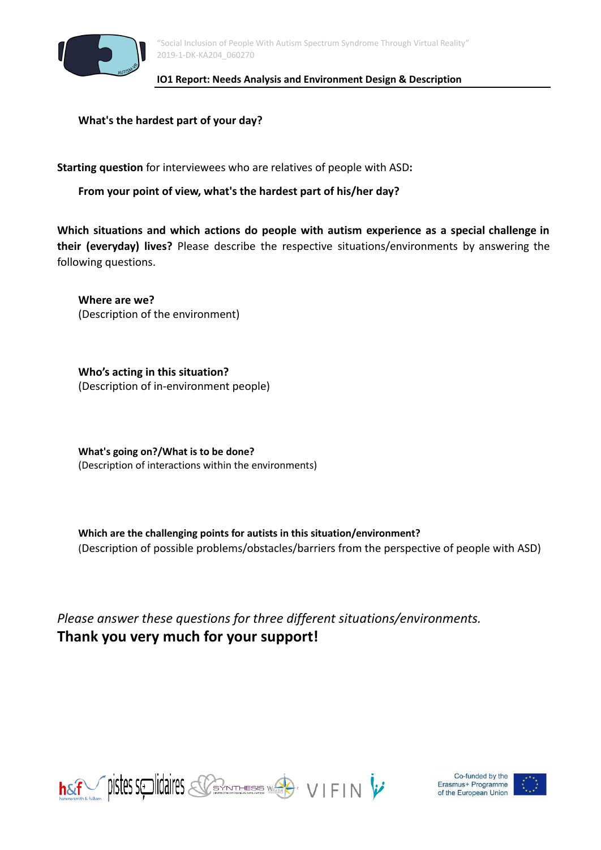

**What's the hardest part of your day?**

**Starting question** for interviewees who are relatives of people with ASD**:**

**From your point of view, what's the hardest part of his/her day?**

**Which situations and which actions do people with autism experience as a special challenge in their (everyday) lives?** Please describe the respective situations/environments by answering the following questions.

**Where are we?** (Description of the environment)

**Who's acting in this situation?** (Description of in-environment people)

**What's going on?/What is to be done?** (Description of interactions within the environments)

**Which are the challenging points for autists in this situation/environment?** (Description of possible problems/obstacles/barriers from the perspective of people with ASD)

*Please answer these questions for three different situations/environments.* **Thank you very much for your support!**





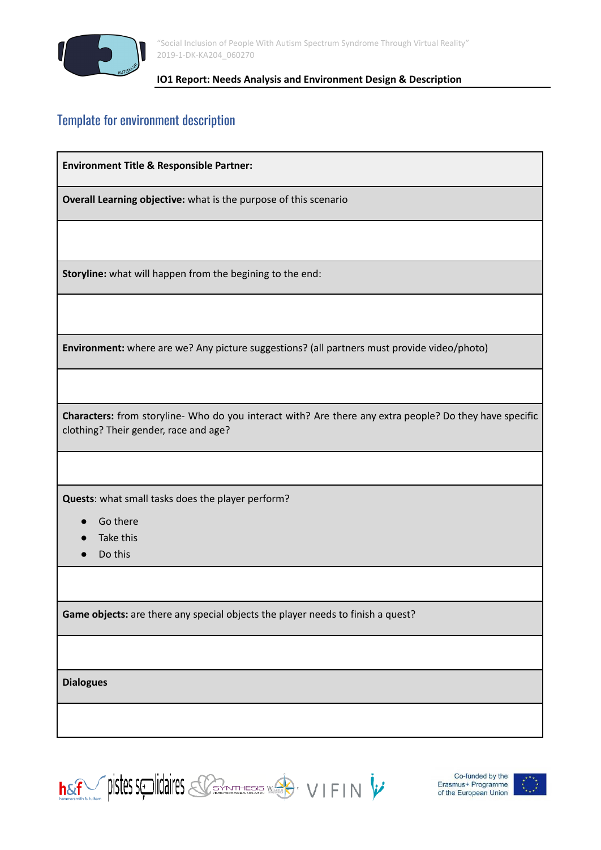

"Social Inclusion of People With Autism Spectrum Syndrome Through Virtual Reality" 2019-1-DK-KA204\_060270

### **IO1 Report: Needs Analysis and Environment Design & Description**

# Template for environment description

**Environment Title & Responsible Partner:**

**Overall Learning objective:** what is the purpose of this scenario

**Storyline:** what will happen from the begining to the end:

**Environment:** where are we? Any picture suggestions? (all partners must provide video/photo)

**Characters:** from storyline- Who do you interact with? Are there any extra people? Do they have specific clothing? Their gender, race and age?

**Quests**: what small tasks does the player perform?

- **Go there**
- Take this
- Do this

**Game objects:** are there any special objects the player needs to finish a quest?

**Dialogues**

**hsef** pistes splidaires Sommes WA VIFIN